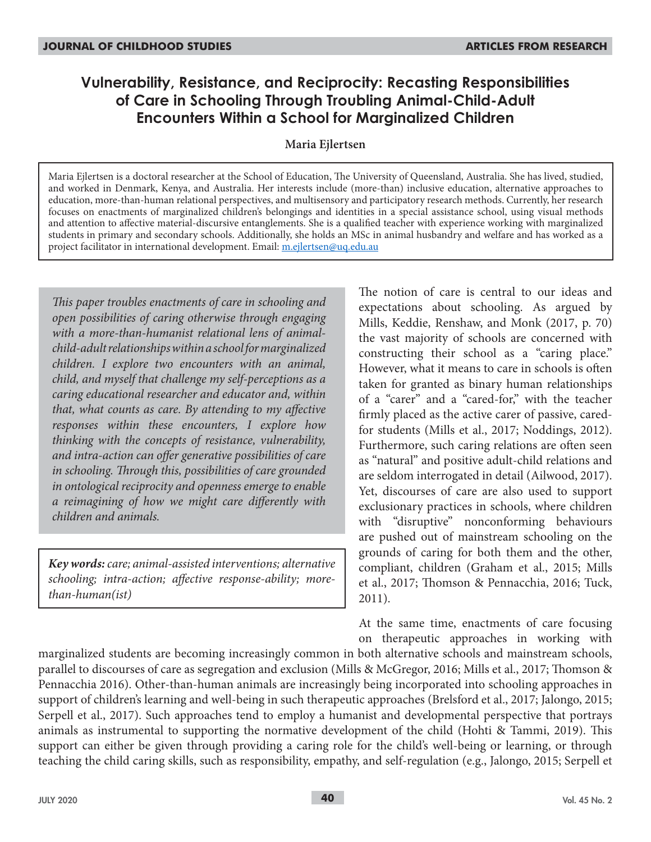# **Vulnerability, Resistance, and Reciprocity: Recasting Responsibilities of Care in Schooling Through Troubling Animal-Child-Adult Encounters Within a School for Marginalized Children**

### **Maria Ejlertsen**

Maria Ejlertsen is a doctoral researcher at the School of Education, The University of Queensland, Australia. She has lived, studied, and worked in Denmark, Kenya, and Australia. Her interests include (more-than) inclusive education, alternative approaches to education, more-than-human relational perspectives, and multisensory and participatory research methods. Currently, her research focuses on enactments of marginalized children's belongings and identities in a special assistance school, using visual methods and attention to affective material-discursive entanglements. She is a qualified teacher with experience working with marginalized students in primary and secondary schools. Additionally, she holds an MSc in animal husbandry and welfare and has worked as a project facilitator in international development. Email: m.ejlertsen@uq.edu.au

*This paper troubles enactments of care in schooling and open possibilities of caring otherwise through engaging with a more-than-humanist relational lens of animalchild-adult relationships within a school for marginalized children. I explore two encounters with an animal, child, and myself that challenge my self-perceptions as a caring educational researcher and educator and, within that, what counts as care. By attending to my affective responses within these encounters, I explore how thinking with the concepts of resistance, vulnerability, and intra-action can offer generative possibilities of care in schooling. Through this, possibilities of care grounded in ontological reciprocity and openness emerge to enable a reimagining of how we might care differently with children and animals.*

*Key words: care; animal-assisted interventions; alternative schooling; intra-action; affective response-ability; morethan-human(ist)*

The notion of care is central to our ideas and expectations about schooling. As argued by Mills, Keddie, Renshaw, and Monk (2017, p. 70) the vast majority of schools are concerned with constructing their school as a "caring place." However, what it means to care in schools is often taken for granted as binary human relationships of a "carer" and a "cared-for," with the teacher firmly placed as the active carer of passive, caredfor students (Mills et al., 2017; Noddings, 2012). Furthermore, such caring relations are often seen as "natural" and positive adult-child relations and are seldom interrogated in detail (Ailwood, 2017). Yet, discourses of care are also used to support exclusionary practices in schools, where children with "disruptive" nonconforming behaviours are pushed out of mainstream schooling on the grounds of caring for both them and the other, compliant, children (Graham et al., 2015; Mills et al., 2017; Thomson & Pennacchia, 2016; Tuck, 2011).

At the same time, enactments of care focusing on therapeutic approaches in working with

marginalized students are becoming increasingly common in both alternative schools and mainstream schools, parallel to discourses of care as segregation and exclusion (Mills & McGregor, 2016; Mills et al., 2017; Thomson & Pennacchia 2016). Other-than-human animals are increasingly being incorporated into schooling approaches in support of children's learning and well-being in such therapeutic approaches (Brelsford et al., 2017; Jalongo, 2015; Serpell et al., 2017). Such approaches tend to employ a humanist and developmental perspective that portrays animals as instrumental to supporting the normative development of the child (Hohti & Tammi, 2019). This support can either be given through providing a caring role for the child's well-being or learning, or through teaching the child caring skills, such as responsibility, empathy, and self-regulation (e.g., Jalongo, 2015; Serpell et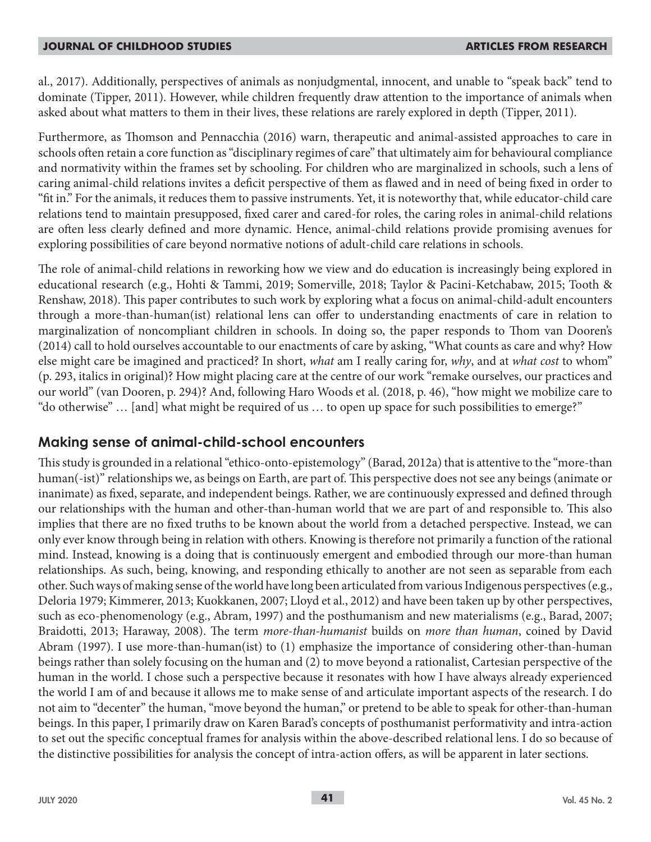al., 2017). Additionally, perspectives of animals as nonjudgmental, innocent, and unable to "speak back" tend to dominate (Tipper, 2011). However, while children frequently draw attention to the importance of animals when asked about what matters to them in their lives, these relations are rarely explored in depth (Tipper, 2011).

Furthermore, as Thomson and Pennacchia (2016) warn, therapeutic and animal-assisted approaches to care in schools often retain a core function as "disciplinary regimes of care" that ultimately aim for behavioural compliance and normativity within the frames set by schooling. For children who are marginalized in schools, such a lens of caring animal-child relations invites a deficit perspective of them as flawed and in need of being fixed in order to "fit in." For the animals, it reduces them to passive instruments. Yet, it is noteworthy that, while educator-child care relations tend to maintain presupposed, fixed carer and cared-for roles, the caring roles in animal-child relations are often less clearly defined and more dynamic. Hence, animal-child relations provide promising avenues for exploring possibilities of care beyond normative notions of adult-child care relations in schools.

The role of animal-child relations in reworking how we view and do education is increasingly being explored in educational research (e.g., Hohti & Tammi, 2019; Somerville, 2018; Taylor & Pacini-Ketchabaw, 2015; Tooth & Renshaw, 2018). This paper contributes to such work by exploring what a focus on animal-child-adult encounters through a more-than-human(ist) relational lens can offer to understanding enactments of care in relation to marginalization of noncompliant children in schools. In doing so, the paper responds to Thom van Dooren's (2014) call to hold ourselves accountable to our enactments of care by asking, "What counts as care and why? How else might care be imagined and practiced? In short, *what* am I really caring for, *why*, and at *what cost* to whom" (p. 293, italics in original)? How might placing care at the centre of our work "remake ourselves, our practices and our world" (van Dooren, p. 294)? And, following Haro Woods et al. (2018, p. 46), "how might we mobilize care to "do otherwise" … [and] what might be required of us … to open up space for such possibilities to emerge?"

## **Making sense of animal-child-school encounters**

This study is grounded in a relational "ethico-onto-epistemology" (Barad, 2012a) that is attentive to the "more-than human(-ist)" relationships we, as beings on Earth, are part of. This perspective does not see any beings (animate or inanimate) as fixed, separate, and independent beings. Rather, we are continuously expressed and defined through our relationships with the human and other-than-human world that we are part of and responsible to. This also implies that there are no fixed truths to be known about the world from a detached perspective. Instead, we can only ever know through being in relation with others. Knowing is therefore not primarily a function of the rational mind. Instead, knowing is a doing that is continuously emergent and embodied through our more-than human relationships. As such, being, knowing, and responding ethically to another are not seen as separable from each other. Such ways of making sense of the world have long been articulated from various Indigenous perspectives (e.g., Deloria 1979; Kimmerer, 2013; Kuokkanen, 2007; Lloyd et al., 2012) and have been taken up by other perspectives, such as eco-phenomenology (e.g., Abram, 1997) and the posthumanism and new materialisms (e.g., Barad, 2007; Braidotti, 2013; Haraway, 2008). The term *more-than-humanist* builds on *more than human*, coined by David Abram (1997). I use more-than-human(ist) to (1) emphasize the importance of considering other-than-human beings rather than solely focusing on the human and (2) to move beyond a rationalist, Cartesian perspective of the human in the world. I chose such a perspective because it resonates with how I have always already experienced the world I am of and because it allows me to make sense of and articulate important aspects of the research. I do not aim to "decenter" the human, "move beyond the human," or pretend to be able to speak for other-than-human beings. In this paper, I primarily draw on Karen Barad's concepts of posthumanist performativity and intra-action to set out the specific conceptual frames for analysis within the above-described relational lens. I do so because of the distinctive possibilities for analysis the concept of intra-action offers, as will be apparent in later sections.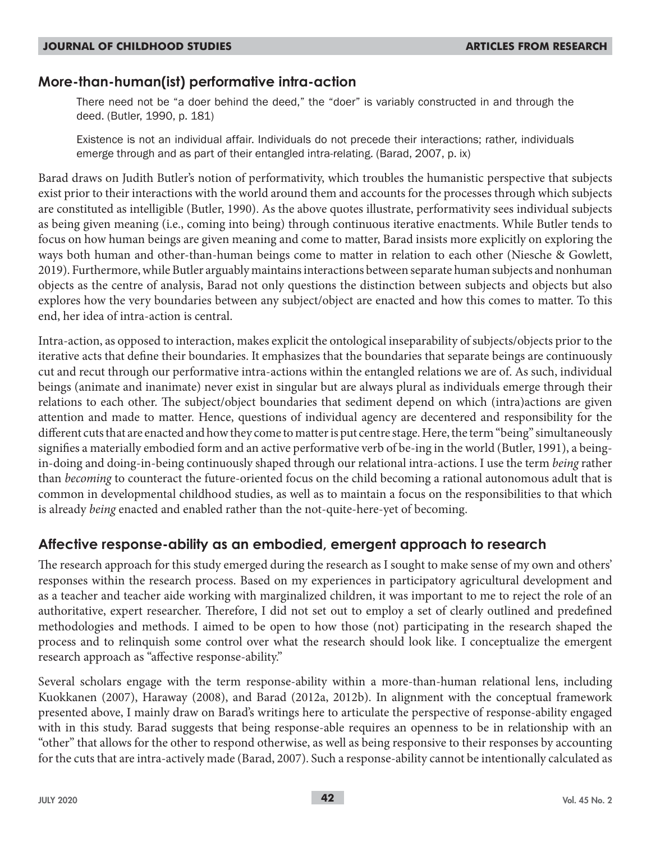## **More-than-human(ist) performative intra-action**

There need not be "a doer behind the deed," the "doer" is variably constructed in and through the deed. (Butler, 1990, p. 181)

Existence is not an individual affair. Individuals do not precede their interactions; rather, individuals emerge through and as part of their entangled intra-relating. (Barad, 2007, p. ix)

Barad draws on Judith Butler's notion of performativity, which troubles the humanistic perspective that subjects exist prior to their interactions with the world around them and accounts for the processes through which subjects are constituted as intelligible (Butler, 1990). As the above quotes illustrate, performativity sees individual subjects as being given meaning (i.e., coming into being) through continuous iterative enactments. While Butler tends to focus on how human beings are given meaning and come to matter, Barad insists more explicitly on exploring the ways both human and other-than-human beings come to matter in relation to each other (Niesche & Gowlett, 2019). Furthermore, while Butler arguably maintains interactions between separate human subjects and nonhuman objects as the centre of analysis, Barad not only questions the distinction between subjects and objects but also explores how the very boundaries between any subject/object are enacted and how this comes to matter. To this end, her idea of intra-action is central.

Intra-action, as opposed to interaction, makes explicit the ontological inseparability of subjects/objects prior to the iterative acts that define their boundaries. It emphasizes that the boundaries that separate beings are continuously cut and recut through our performative intra-actions within the entangled relations we are of. As such, individual beings (animate and inanimate) never exist in singular but are always plural as individuals emerge through their relations to each other. The subject/object boundaries that sediment depend on which (intra)actions are given attention and made to matter. Hence, questions of individual agency are decentered and responsibility for the different cuts that are enacted and how they come to matter is put centre stage. Here, the term "being" simultaneously signifies a materially embodied form and an active performative verb of be-ing in the world (Butler, 1991), a beingin-doing and doing-in-being continuously shaped through our relational intra-actions. I use the term *being* rather than *becoming* to counteract the future-oriented focus on the child becoming a rational autonomous adult that is common in developmental childhood studies, as well as to maintain a focus on the responsibilities to that which is already *being* enacted and enabled rather than the not-quite-here-yet of becoming.

## **Affective response-ability as an embodied, emergent approach to research**

The research approach for this study emerged during the research as I sought to make sense of my own and others' responses within the research process. Based on my experiences in participatory agricultural development and as a teacher and teacher aide working with marginalized children, it was important to me to reject the role of an authoritative, expert researcher. Therefore, I did not set out to employ a set of clearly outlined and predefined methodologies and methods. I aimed to be open to how those (not) participating in the research shaped the process and to relinquish some control over what the research should look like. I conceptualize the emergent research approach as "affective response-ability."

Several scholars engage with the term response-ability within a more-than-human relational lens, including Kuokkanen (2007), Haraway (2008), and Barad (2012a, 2012b). In alignment with the conceptual framework presented above, I mainly draw on Barad's writings here to articulate the perspective of response-ability engaged with in this study. Barad suggests that being response-able requires an openness to be in relationship with an "other" that allows for the other to respond otherwise, as well as being responsive to their responses by accounting for the cuts that are intra-actively made (Barad, 2007). Such a response-ability cannot be intentionally calculated as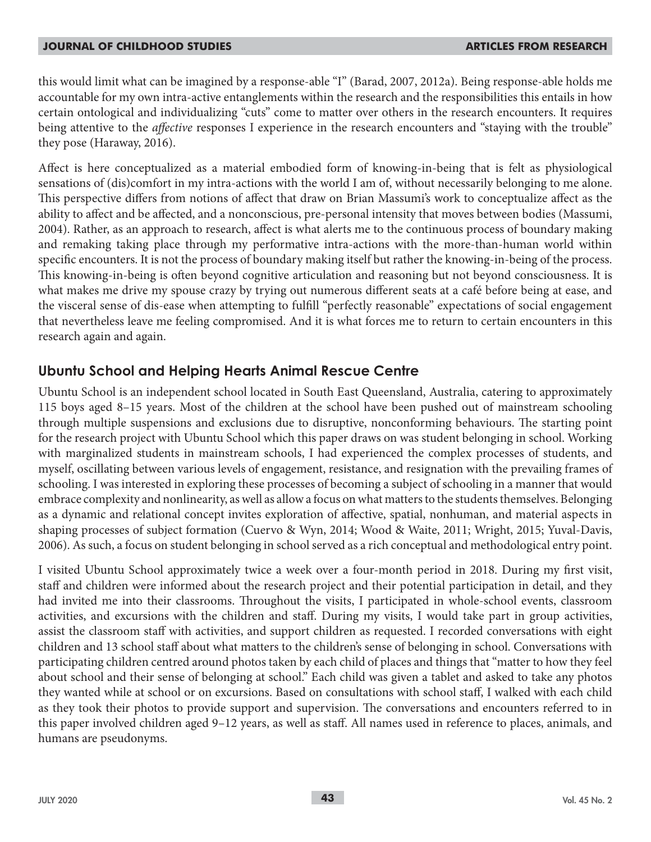this would limit what can be imagined by a response-able "I" (Barad, 2007, 2012a). Being response-able holds me accountable for my own intra-active entanglements within the research and the responsibilities this entails in how certain ontological and individualizing "cuts" come to matter over others in the research encounters. It requires being attentive to the *affective* responses I experience in the research encounters and "staying with the trouble" they pose (Haraway, 2016).

Affect is here conceptualized as a material embodied form of knowing-in-being that is felt as physiological sensations of (dis)comfort in my intra-actions with the world I am of, without necessarily belonging to me alone. This perspective differs from notions of affect that draw on Brian Massumi's work to conceptualize affect as the ability to affect and be affected, and a nonconscious, pre-personal intensity that moves between bodies (Massumi, 2004). Rather, as an approach to research, affect is what alerts me to the continuous process of boundary making and remaking taking place through my performative intra-actions with the more-than-human world within specific encounters. It is not the process of boundary making itself but rather the knowing-in-being of the process. This knowing-in-being is often beyond cognitive articulation and reasoning but not beyond consciousness. It is what makes me drive my spouse crazy by trying out numerous different seats at a café before being at ease, and the visceral sense of dis-ease when attempting to fulfill "perfectly reasonable" expectations of social engagement that nevertheless leave me feeling compromised. And it is what forces me to return to certain encounters in this research again and again.

## **Ubuntu School and Helping Hearts Animal Rescue Centre**

Ubuntu School is an independent school located in South East Queensland, Australia, catering to approximately 115 boys aged 8–15 years. Most of the children at the school have been pushed out of mainstream schooling through multiple suspensions and exclusions due to disruptive, nonconforming behaviours. The starting point for the research project with Ubuntu School which this paper draws on was student belonging in school. Working with marginalized students in mainstream schools, I had experienced the complex processes of students, and myself, oscillating between various levels of engagement, resistance, and resignation with the prevailing frames of schooling. I was interested in exploring these processes of becoming a subject of schooling in a manner that would embrace complexity and nonlinearity, as well as allow a focus on what matters to the students themselves. Belonging as a dynamic and relational concept invites exploration of affective, spatial, nonhuman, and material aspects in shaping processes of subject formation (Cuervo & Wyn, 2014; Wood & Waite, 2011; Wright, 2015; Yuval-Davis, 2006). As such, a focus on student belonging in school served as a rich conceptual and methodological entry point.

I visited Ubuntu School approximately twice a week over a four-month period in 2018. During my first visit, staff and children were informed about the research project and their potential participation in detail, and they had invited me into their classrooms. Throughout the visits, I participated in whole-school events, classroom activities, and excursions with the children and staff. During my visits, I would take part in group activities, assist the classroom staff with activities, and support children as requested. I recorded conversations with eight children and 13 school staff about what matters to the children's sense of belonging in school. Conversations with participating children centred around photos taken by each child of places and things that "matter to how they feel about school and their sense of belonging at school." Each child was given a tablet and asked to take any photos they wanted while at school or on excursions. Based on consultations with school staff, I walked with each child as they took their photos to provide support and supervision. The conversations and encounters referred to in this paper involved children aged 9–12 years, as well as staff. All names used in reference to places, animals, and humans are pseudonyms.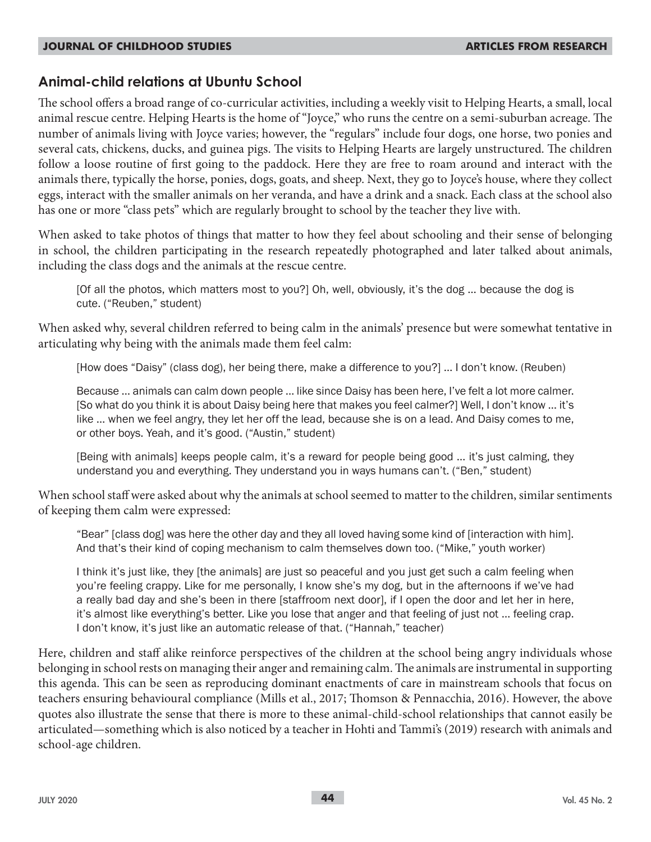## **Animal-child relations at Ubuntu School**

The school offers a broad range of co-curricular activities, including a weekly visit to Helping Hearts, a small, local animal rescue centre. Helping Hearts is the home of "Joyce," who runs the centre on a semi-suburban acreage. The number of animals living with Joyce varies; however, the "regulars" include four dogs, one horse, two ponies and several cats, chickens, ducks, and guinea pigs. The visits to Helping Hearts are largely unstructured. The children follow a loose routine of first going to the paddock. Here they are free to roam around and interact with the animals there, typically the horse, ponies, dogs, goats, and sheep. Next, they go to Joyce's house, where they collect eggs, interact with the smaller animals on her veranda, and have a drink and a snack. Each class at the school also has one or more "class pets" which are regularly brought to school by the teacher they live with.

When asked to take photos of things that matter to how they feel about schooling and their sense of belonging in school, the children participating in the research repeatedly photographed and later talked about animals, including the class dogs and the animals at the rescue centre.

[Of all the photos, which matters most to you?] Oh, well, obviously, it's the dog … because the dog is cute. ("Reuben," student)

When asked why, several children referred to being calm in the animals' presence but were somewhat tentative in articulating why being with the animals made them feel calm:

[How does "Daisy" (class dog), her being there, make a difference to you?] … I don't know. (Reuben)

Because … animals can calm down people … like since Daisy has been here, I've felt a lot more calmer. [So what do you think it is about Daisy being here that makes you feel calmer?] Well, I don't know … it's like … when we feel angry, they let her off the lead, because she is on a lead. And Daisy comes to me, or other boys. Yeah, and it's good. ("Austin," student)

[Being with animals] keeps people calm, it's a reward for people being good ... it's just calming, they understand you and everything. They understand you in ways humans can't. ("Ben," student)

When school staff were asked about why the animals at school seemed to matter to the children, similar sentiments of keeping them calm were expressed:

"Bear" [class dog] was here the other day and they all loved having some kind of [interaction with him]. And that's their kind of coping mechanism to calm themselves down too. ("Mike," youth worker)

I think it's just like, they [the animals] are just so peaceful and you just get such a calm feeling when you're feeling crappy. Like for me personally, I know she's my dog, but in the afternoons if we've had a really bad day and she's been in there [staffroom next door], if I open the door and let her in here, it's almost like everything's better. Like you lose that anger and that feeling of just not … feeling crap. I don't know, it's just like an automatic release of that. ("Hannah," teacher)

Here, children and staff alike reinforce perspectives of the children at the school being angry individuals whose belonging in school rests on managing their anger and remaining calm. The animals are instrumental in supporting this agenda. This can be seen as reproducing dominant enactments of care in mainstream schools that focus on teachers ensuring behavioural compliance (Mills et al., 2017; Thomson & Pennacchia, 2016). However, the above quotes also illustrate the sense that there is more to these animal-child-school relationships that cannot easily be articulated—something which is also noticed by a teacher in Hohti and Tammi's (2019) research with animals and school-age children.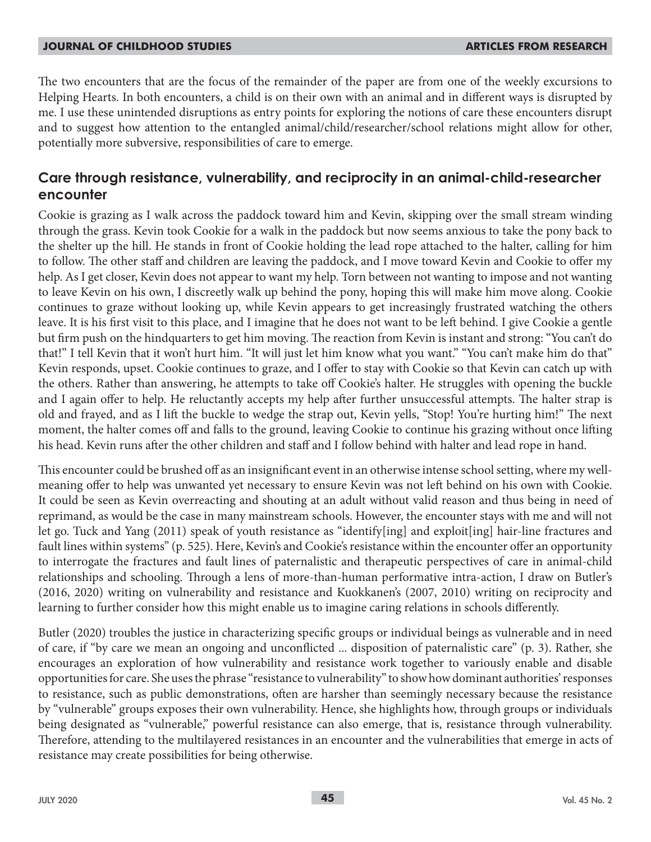The two encounters that are the focus of the remainder of the paper are from one of the weekly excursions to Helping Hearts. In both encounters, a child is on their own with an animal and in different ways is disrupted by me. I use these unintended disruptions as entry points for exploring the notions of care these encounters disrupt and to suggest how attention to the entangled animal/child/researcher/school relations might allow for other, potentially more subversive, responsibilities of care to emerge.

## **Care through resistance, vulnerability, and reciprocity in an animal-child-researcher encounter**

Cookie is grazing as I walk across the paddock toward him and Kevin, skipping over the small stream winding through the grass. Kevin took Cookie for a walk in the paddock but now seems anxious to take the pony back to the shelter up the hill. He stands in front of Cookie holding the lead rope attached to the halter, calling for him to follow. The other staff and children are leaving the paddock, and I move toward Kevin and Cookie to offer my help. As I get closer, Kevin does not appear to want my help. Torn between not wanting to impose and not wanting to leave Kevin on his own, I discreetly walk up behind the pony, hoping this will make him move along. Cookie continues to graze without looking up, while Kevin appears to get increasingly frustrated watching the others leave. It is his first visit to this place, and I imagine that he does not want to be left behind. I give Cookie a gentle but firm push on the hindquarters to get him moving. The reaction from Kevin is instant and strong: "You can't do that!" I tell Kevin that it won't hurt him. "It will just let him know what you want." "You can't make him do that" Kevin responds, upset. Cookie continues to graze, and I offer to stay with Cookie so that Kevin can catch up with the others. Rather than answering, he attempts to take off Cookie's halter. He struggles with opening the buckle and I again offer to help. He reluctantly accepts my help after further unsuccessful attempts. The halter strap is old and frayed, and as I lift the buckle to wedge the strap out, Kevin yells, "Stop! You're hurting him!" The next moment, the halter comes off and falls to the ground, leaving Cookie to continue his grazing without once lifting his head. Kevin runs after the other children and staff and I follow behind with halter and lead rope in hand.

This encounter could be brushed off as an insignificant event in an otherwise intense school setting, where my wellmeaning offer to help was unwanted yet necessary to ensure Kevin was not left behind on his own with Cookie. It could be seen as Kevin overreacting and shouting at an adult without valid reason and thus being in need of reprimand, as would be the case in many mainstream schools. However, the encounter stays with me and will not let go. Tuck and Yang (2011) speak of youth resistance as "identify[ing] and exploit[ing] hair-line fractures and fault lines within systems" (p. 525). Here, Kevin's and Cookie's resistance within the encounter offer an opportunity to interrogate the fractures and fault lines of paternalistic and therapeutic perspectives of care in animal-child relationships and schooling. Through a lens of more-than-human performative intra-action, I draw on Butler's (2016, 2020) writing on vulnerability and resistance and Kuokkanen's (2007, 2010) writing on reciprocity and learning to further consider how this might enable us to imagine caring relations in schools differently.

Butler (2020) troubles the justice in characterizing specific groups or individual beings as vulnerable and in need of care, if "by care we mean an ongoing and unconflicted ... disposition of paternalistic care" (p. 3). Rather, she encourages an exploration of how vulnerability and resistance work together to variously enable and disable opportunities for care. She uses the phrase "resistance to vulnerability" to show how dominant authorities' responses to resistance, such as public demonstrations, often are harsher than seemingly necessary because the resistance by "vulnerable" groups exposes their own vulnerability. Hence, she highlights how, through groups or individuals being designated as "vulnerable," powerful resistance can also emerge, that is, resistance through vulnerability. Therefore, attending to the multilayered resistances in an encounter and the vulnerabilities that emerge in acts of resistance may create possibilities for being otherwise.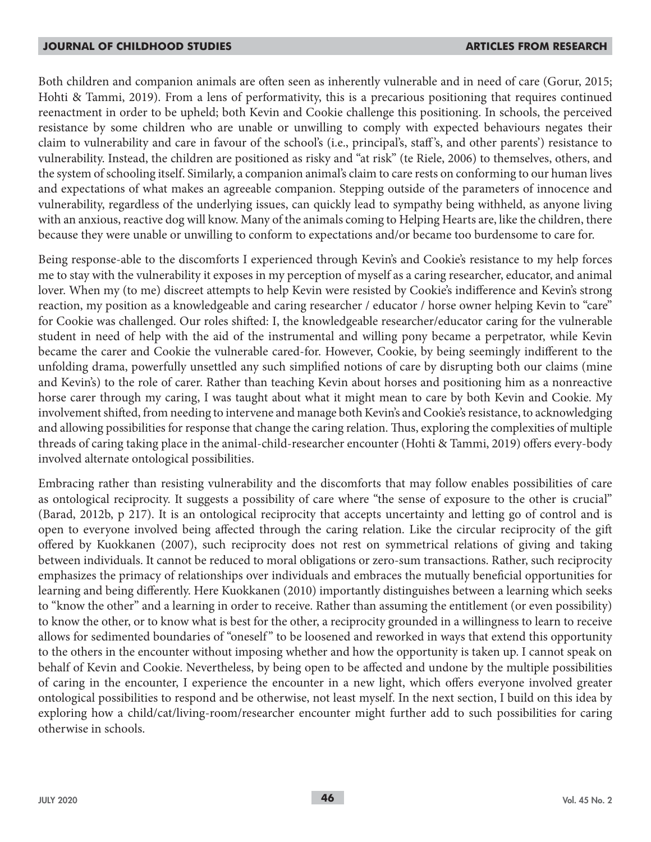Both children and companion animals are often seen as inherently vulnerable and in need of care (Gorur, 2015; Hohti & Tammi, 2019). From a lens of performativity, this is a precarious positioning that requires continued reenactment in order to be upheld; both Kevin and Cookie challenge this positioning. In schools, the perceived resistance by some children who are unable or unwilling to comply with expected behaviours negates their claim to vulnerability and care in favour of the school's (i.e., principal's, staff 's, and other parents') resistance to vulnerability. Instead, the children are positioned as risky and "at risk" (te Riele, 2006) to themselves, others, and the system of schooling itself. Similarly, a companion animal's claim to care rests on conforming to our human lives and expectations of what makes an agreeable companion. Stepping outside of the parameters of innocence and vulnerability, regardless of the underlying issues, can quickly lead to sympathy being withheld, as anyone living with an anxious, reactive dog will know. Many of the animals coming to Helping Hearts are, like the children, there because they were unable or unwilling to conform to expectations and/or became too burdensome to care for.

Being response-able to the discomforts I experienced through Kevin's and Cookie's resistance to my help forces me to stay with the vulnerability it exposes in my perception of myself as a caring researcher, educator, and animal lover. When my (to me) discreet attempts to help Kevin were resisted by Cookie's indifference and Kevin's strong reaction, my position as a knowledgeable and caring researcher / educator / horse owner helping Kevin to "care" for Cookie was challenged. Our roles shifted: I, the knowledgeable researcher/educator caring for the vulnerable student in need of help with the aid of the instrumental and willing pony became a perpetrator, while Kevin became the carer and Cookie the vulnerable cared-for. However, Cookie, by being seemingly indifferent to the unfolding drama, powerfully unsettled any such simplified notions of care by disrupting both our claims (mine and Kevin's) to the role of carer. Rather than teaching Kevin about horses and positioning him as a nonreactive horse carer through my caring, I was taught about what it might mean to care by both Kevin and Cookie. My involvement shifted, from needing to intervene and manage both Kevin's and Cookie's resistance, to acknowledging and allowing possibilities for response that change the caring relation. Thus, exploring the complexities of multiple threads of caring taking place in the animal-child-researcher encounter (Hohti & Tammi, 2019) offers every-body involved alternate ontological possibilities.

Embracing rather than resisting vulnerability and the discomforts that may follow enables possibilities of care as ontological reciprocity. It suggests a possibility of care where "the sense of exposure to the other is crucial" (Barad, 2012b, p 217). It is an ontological reciprocity that accepts uncertainty and letting go of control and is open to everyone involved being affected through the caring relation. Like the circular reciprocity of the gift offered by Kuokkanen (2007), such reciprocity does not rest on symmetrical relations of giving and taking between individuals. It cannot be reduced to moral obligations or zero-sum transactions. Rather, such reciprocity emphasizes the primacy of relationships over individuals and embraces the mutually beneficial opportunities for learning and being differently. Here Kuokkanen (2010) importantly distinguishes between a learning which seeks to "know the other" and a learning in order to receive. Rather than assuming the entitlement (or even possibility) to know the other, or to know what is best for the other, a reciprocity grounded in a willingness to learn to receive allows for sedimented boundaries of "oneself" to be loosened and reworked in ways that extend this opportunity to the others in the encounter without imposing whether and how the opportunity is taken up. I cannot speak on behalf of Kevin and Cookie. Nevertheless, by being open to be affected and undone by the multiple possibilities of caring in the encounter, I experience the encounter in a new light, which offers everyone involved greater ontological possibilities to respond and be otherwise, not least myself. In the next section, I build on this idea by exploring how a child/cat/living-room/researcher encounter might further add to such possibilities for caring otherwise in schools.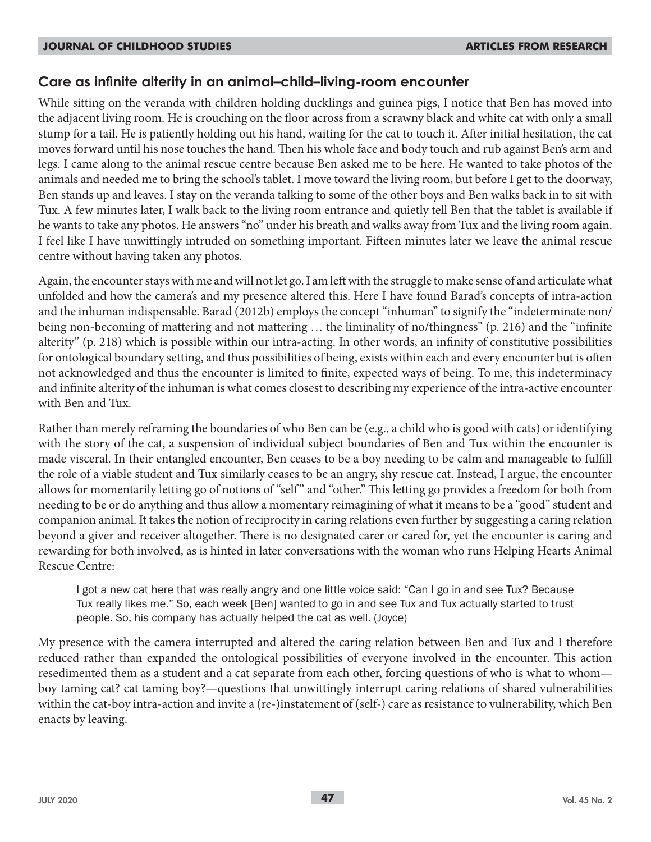## **Care as infinite alterity in an animal–child–living-room encounter**

While sitting on the veranda with children holding ducklings and guinea pigs, I notice that Ben has moved into the adjacent living room. He is crouching on the floor across from a scrawny black and white cat with only a small stump for a tail. He is patiently holding out his hand, waiting for the cat to touch it. After initial hesitation, the cat moves forward until his nose touches the hand. Then his whole face and body touch and rub against Ben's arm and legs. I came along to the animal rescue centre because Ben asked me to be here. He wanted to take photos of the animals and needed me to bring the school's tablet. I move toward the living room, but before I get to the doorway, Ben stands up and leaves. I stay on the veranda talking to some of the other boys and Ben walks back in to sit with Tux. A few minutes later, I walk back to the living room entrance and quietly tell Ben that the tablet is available if he wants to take any photos. He answers "no" under his breath and walks away from Tux and the living room again. I feel like I have unwittingly intruded on something important. Fifteen minutes later we leave the animal rescue centre without having taken any photos.

Again, the encounter stays with me and will not let go. I am left with the struggle to make sense of and articulate what unfolded and how the camera's and my presence altered this. Here I have found Barad's concepts of intra-action and the inhuman indispensable. Barad (2012b) employs the concept "inhuman" to signify the "indeterminate non/ being non-becoming of mattering and not mattering … the liminality of no/thingness" (p. 216) and the "infinite alterity" (p. 218) which is possible within our intra-acting. In other words, an infinity of constitutive possibilities for ontological boundary setting, and thus possibilities of being, exists within each and every encounter but is often not acknowledged and thus the encounter is limited to finite, expected ways of being. To me, this indeterminacy and infinite alterity of the inhuman is what comes closest to describing my experience of the intra-active encounter with Ben and Tux.

Rather than merely reframing the boundaries of who Ben can be (e.g., a child who is good with cats) or identifying with the story of the cat, a suspension of individual subject boundaries of Ben and Tux within the encounter is made visceral. In their entangled encounter, Ben ceases to be a boy needing to be calm and manageable to fulfill the role of a viable student and Tux similarly ceases to be an angry, shy rescue cat. Instead, I argue, the encounter allows for momentarily letting go of notions of "self " and "other." This letting go provides a freedom for both from needing to be or do anything and thus allow a momentary reimagining of what it means to be a "good" student and companion animal. It takes the notion of reciprocity in caring relations even further by suggesting a caring relation beyond a giver and receiver altogether. There is no designated carer or cared for, yet the encounter is caring and rewarding for both involved, as is hinted in later conversations with the woman who runs Helping Hearts Animal Rescue Centre:

I got a new cat here that was really angry and one little voice said: "Can I go in and see Tux? Because Tux really likes me." So, each week [Ben] wanted to go in and see Tux and Tux actually started to trust people. So, his company has actually helped the cat as well. (Joyce)

My presence with the camera interrupted and altered the caring relation between Ben and Tux and I therefore reduced rather than expanded the ontological possibilities of everyone involved in the encounter. This action resedimented them as a student and a cat separate from each other, forcing questions of who is what to whom boy taming cat? cat taming boy?—questions that unwittingly interrupt caring relations of shared vulnerabilities within the cat-boy intra-action and invite a (re-)instatement of (self-) care as resistance to vulnerability, which Ben enacts by leaving.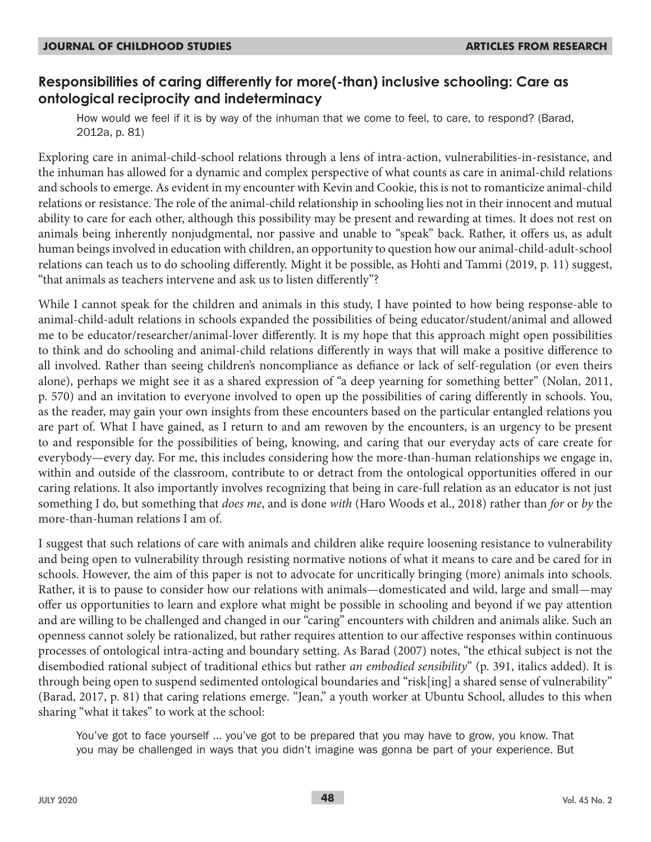## **Responsibilities of caring differently for more(-than) inclusive schooling: Care as ontological reciprocity and indeterminacy**

How would we feel if it is by way of the inhuman that we come to feel, to care, to respond? (Barad, 2012a, p. 81)

Exploring care in animal-child-school relations through a lens of intra-action, vulnerabilities-in-resistance, and the inhuman has allowed for a dynamic and complex perspective of what counts as care in animal-child relations and schools to emerge. As evident in my encounter with Kevin and Cookie, this is not to romanticize animal-child relations or resistance. The role of the animal-child relationship in schooling lies not in their innocent and mutual ability to care for each other, although this possibility may be present and rewarding at times. It does not rest on animals being inherently nonjudgmental, nor passive and unable to "speak" back. Rather, it offers us, as adult human beings involved in education with children, an opportunity to question how our animal-child-adult-school relations can teach us to do schooling differently. Might it be possible, as Hohti and Tammi (2019, p. 11) suggest, "that animals as teachers intervene and ask us to listen differently"?

While I cannot speak for the children and animals in this study, I have pointed to how being response-able to animal-child-adult relations in schools expanded the possibilities of being educator/student/animal and allowed me to be educator/researcher/animal-lover differently. It is my hope that this approach might open possibilities to think and do schooling and animal-child relations differently in ways that will make a positive difference to all involved. Rather than seeing children's noncompliance as defiance or lack of self-regulation (or even theirs alone), perhaps we might see it as a shared expression of "a deep yearning for something better" (Nolan, 2011, p. 570) and an invitation to everyone involved to open up the possibilities of caring differently in schools. You, as the reader, may gain your own insights from these encounters based on the particular entangled relations you are part of. What I have gained, as I return to and am rewoven by the encounters, is an urgency to be present to and responsible for the possibilities of being, knowing, and caring that our everyday acts of care create for everybody—every day. For me, this includes considering how the more-than-human relationships we engage in, within and outside of the classroom, contribute to or detract from the ontological opportunities offered in our caring relations. It also importantly involves recognizing that being in care-full relation as an educator is not just something I do, but something that *does me*, and is done *with* (Haro Woods et al., 2018) rather than *for* or *by* the more-than-human relations I am of.

I suggest that such relations of care with animals and children alike require loosening resistance to vulnerability and being open to vulnerability through resisting normative notions of what it means to care and be cared for in schools. However, the aim of this paper is not to advocate for uncritically bringing (more) animals into schools. Rather, it is to pause to consider how our relations with animals—domesticated and wild, large and small—may offer us opportunities to learn and explore what might be possible in schooling and beyond if we pay attention and are willing to be challenged and changed in our "caring" encounters with children and animals alike. Such an openness cannot solely be rationalized, but rather requires attention to our affective responses within continuous processes of ontological intra-acting and boundary setting. As Barad (2007) notes, "the ethical subject is not the disembodied rational subject of traditional ethics but rather *an embodied sensibility*" (p. 391, italics added). It is through being open to suspend sedimented ontological boundaries and "risk[ing] a shared sense of vulnerability" (Barad, 2017, p. 81) that caring relations emerge. "Jean," a youth worker at Ubuntu School, alludes to this when sharing "what it takes" to work at the school:

You've got to face yourself … you've got to be prepared that you may have to grow, you know. That you may be challenged in ways that you didn't imagine was gonna be part of your experience. But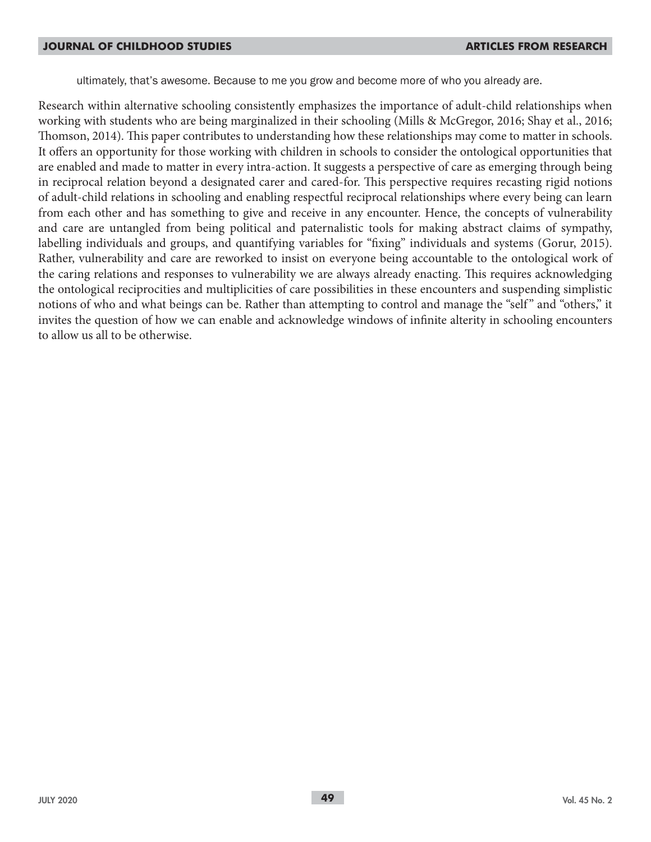ultimately, that's awesome. Because to me you grow and become more of who you already are.

Research within alternative schooling consistently emphasizes the importance of adult-child relationships when working with students who are being marginalized in their schooling (Mills & McGregor, 2016; Shay et al., 2016; Thomson, 2014). This paper contributes to understanding how these relationships may come to matter in schools. It offers an opportunity for those working with children in schools to consider the ontological opportunities that are enabled and made to matter in every intra-action. It suggests a perspective of care as emerging through being in reciprocal relation beyond a designated carer and cared-for. This perspective requires recasting rigid notions of adult-child relations in schooling and enabling respectful reciprocal relationships where every being can learn from each other and has something to give and receive in any encounter. Hence, the concepts of vulnerability and care are untangled from being political and paternalistic tools for making abstract claims of sympathy, labelling individuals and groups, and quantifying variables for "fixing" individuals and systems (Gorur, 2015). Rather, vulnerability and care are reworked to insist on everyone being accountable to the ontological work of the caring relations and responses to vulnerability we are always already enacting. This requires acknowledging the ontological reciprocities and multiplicities of care possibilities in these encounters and suspending simplistic notions of who and what beings can be. Rather than attempting to control and manage the "self " and "others," it invites the question of how we can enable and acknowledge windows of infinite alterity in schooling encounters to allow us all to be otherwise.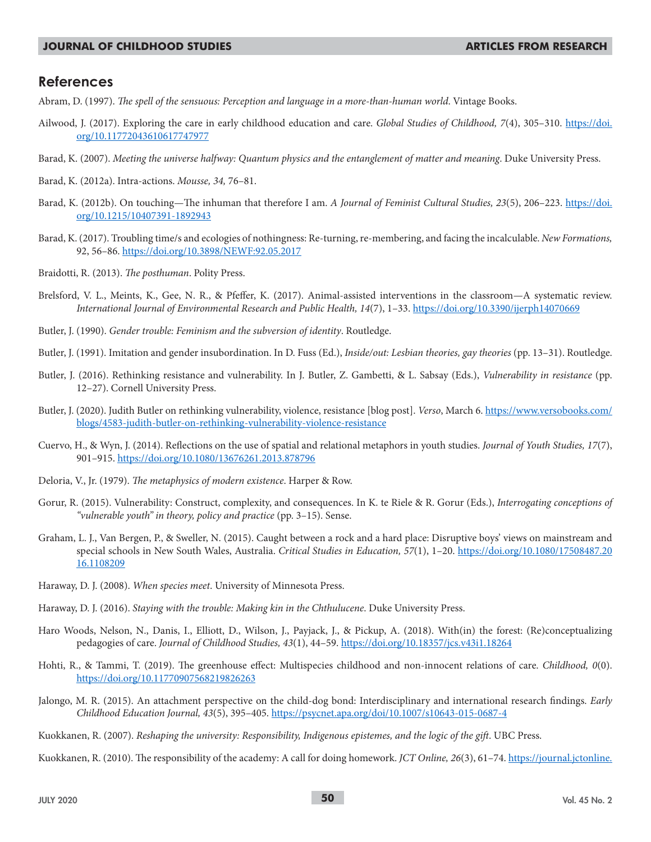### **References**

- Abram, D. (1997). *The spell of the sensuous: Perception and language in a more-than-human world*. Vintage Books.
- Ailwood, J. (2017). Exploring the care in early childhood education and care. *Global Studies of Childhood, 7*(4), 305–310. https://doi. org/10.11772043610617747977
- Barad, K. (2007). *Meeting the universe halfway: Quantum physics and the entanglement of matter and meaning*. Duke University Press.
- Barad, K. (2012a). Intra-actions. *Mousse, 34,* 76–81.
- Barad, K. (2012b). On touching—The inhuman that therefore I am. *A Journal of Feminist Cultural Studies, 23*(5), 206–223. https://doi. org/10.1215/10407391-1892943
- Barad, K. (2017). Troubling time/s and ecologies of nothingness: Re-turning, re-membering, and facing the incalculable. *New Formations,* 92, 56–86. https://doi.org/10.3898/NEWF:92.05.2017
- Braidotti, R. (2013). *The posthuman*. Polity Press.
- Brelsford, V. L., Meints, K., Gee, N. R., & Pfeffer, K. (2017). Animal-assisted interventions in the classroom—A systematic review. *International Journal of Environmental Research and Public Health, 14*(7), 1–33. https://doi.org/10.3390/ijerph14070669
- Butler, J. (1990). *Gender trouble: Feminism and the subversion of identity*. Routledge.
- Butler, J. (1991). Imitation and gender insubordination. In D. Fuss (Ed.), *Inside/out: Lesbian theories, gay theories* (pp. 13–31). Routledge.
- Butler, J. (2016). Rethinking resistance and vulnerability. In J. Butler, Z. Gambetti, & L. Sabsay (Eds.), *Vulnerability in resistance* (pp. 12–27). Cornell University Press.
- Butler, J. (2020). Judith Butler on rethinking vulnerability, violence, resistance [blog post]. *Verso*, March 6. https://www.versobooks.com/ blogs/4583-judith-butler-on-rethinking-vulnerability-violence-resistance
- Cuervo, H., & Wyn, J. (2014). Reflections on the use of spatial and relational metaphors in youth studies. *Journal of Youth Studies, 17*(7), 901–915. https://doi.org/10.1080/13676261.2013.878796
- Deloria, V., Jr. (1979). *The metaphysics of modern existence*. Harper & Row.
- Gorur, R. (2015). Vulnerability: Construct, complexity, and consequences. In K. te Riele & R. Gorur (Eds.), *Interrogating conceptions of "vulnerable youth" in theory, policy and practice* (pp. 3–15). Sense.
- Graham, L. J., Van Bergen, P., & Sweller, N. (2015). Caught between a rock and a hard place: Disruptive boys' views on mainstream and special schools in New South Wales, Australia. *Critical Studies in Education, 57*(1), 1–20. https://doi.org/10.1080/17508487.20 16.1108209
- Haraway, D. J. (2008). *When species meet*. University of Minnesota Press.
- Haraway, D. J. (2016). *Staying with the trouble: Making kin in the Chthulucene*. Duke University Press.
- Haro Woods, Nelson, N., Danis, I., Elliott, D., Wilson, J., Payjack, J., & Pickup, A. (2018). With(in) the forest: (Re)conceptualizing pedagogies of care. *Journal of Childhood Studies, 43*(1), 44–59. https://doi.org/10.18357/jcs.v43i1.18264
- Hohti, R., & Tammi, T. (2019). The greenhouse effect: Multispecies childhood and non-innocent relations of care. *Childhood, 0*(0). https://doi.org/10.11770907568219826263
- Jalongo, M. R. (2015). An attachment perspective on the child-dog bond: Interdisciplinary and international research findings. *Early Childhood Education Journal, 43*(5), 395–405. https://psycnet.apa.org/doi/10.1007/s10643-015-0687-4
- Kuokkanen, R. (2007). *Reshaping the university: Responsibility, Indigenous epistemes, and the logic of the gift*. UBC Press.
- Kuokkanen, R. (2010). The responsibility of the academy: A call for doing homework. *JCT Online, 26*(3), 61–74. https://journal.jctonline.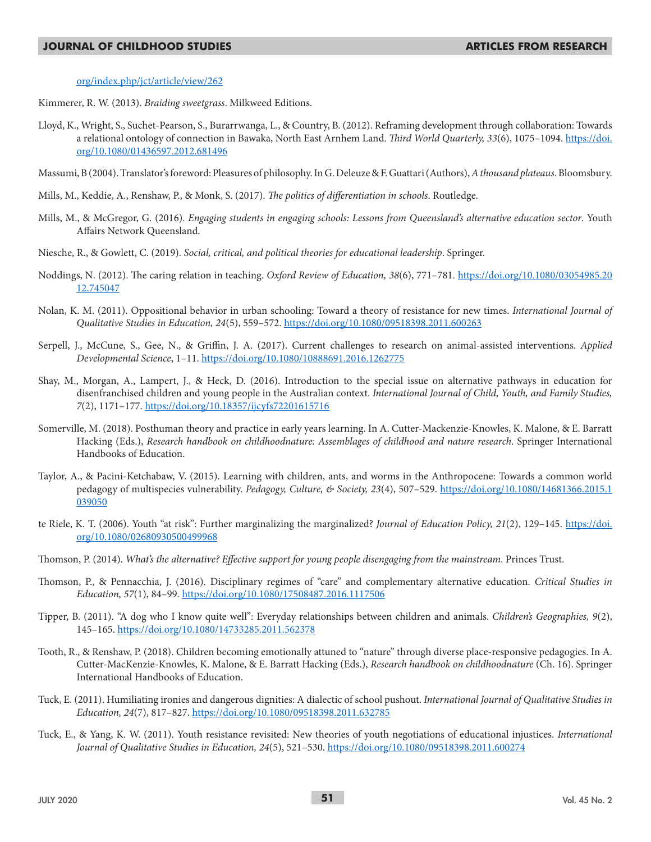#### org/index.php/jct/article/view/262

Kimmerer, R. W. (2013). *Braiding sweetgrass*. Milkweed Editions.

- Lloyd, K., Wright, S., Suchet-Pearson, S., Burarrwanga, L., & Country, B. (2012). Reframing development through collaboration: Towards a relational ontology of connection in Bawaka, North East Arnhem Land. *Third World Quarterly, 33*(6), 1075–1094. https://doi. org/10.1080/01436597.2012.681496
- Massumi, B (2004). Translator's foreword: Pleasures of philosophy. In G. Deleuze & F. Guattari (Authors), *A thousand plateaus*.Bloomsbury.
- Mills, M., Keddie, A., Renshaw, P., & Monk, S. (2017). *The politics of differentiation in schools*. Routledge.
- Mills, M., & McGregor, G. (2016). *Engaging students in engaging schools: Lessons from Queensland's alternative education sector*. Youth Affairs Network Queensland.
- Niesche, R., & Gowlett, C. (2019). *Social, critical, and political theories for educational leadership*. Springer.
- Noddings, N. (2012). The caring relation in teaching. *Oxford Review of Education, 38*(6), 771–781. https://doi.org/10.1080/03054985.20 12.745047
- Nolan, K. M. (2011). Oppositional behavior in urban schooling: Toward a theory of resistance for new times. *International Journal of Qualitative Studies in Education, 24*(5), 559–572. https://doi.org/10.1080/09518398.2011.600263
- Serpell, J., McCune, S., Gee, N., & Griffin, J. A. (2017). Current challenges to research on animal-assisted interventions. *Applied Developmental Science*, 1–11. https://doi.org/10.1080/10888691.2016.1262775
- Shay, M., Morgan, A., Lampert, J., & Heck, D. (2016). Introduction to the special issue on alternative pathways in education for disenfranchised children and young people in the Australian context. *International Journal of Child, Youth, and Family Studies, 7*(2), 1171–177. https://doi.org/10.18357/ijcyfs72201615716
- Somerville, M. (2018). Posthuman theory and practice in early years learning. In A. Cutter-Mackenzie-Knowles, K. Malone, & E. Barratt Hacking (Eds.), *Research handbook on childhoodnature: Assemblages of childhood and nature research*. Springer International Handbooks of Education.
- Taylor, A., & Pacini-Ketchabaw, V. (2015). Learning with children, ants, and worms in the Anthropocene: Towards a common world pedagogy of multispecies vulnerability. *Pedagogy, Culture, & Society, 23*(4), 507–529. https://doi.org/10.1080/14681366.2015.1 039050
- te Riele, K. T. (2006). Youth "at risk": Further marginalizing the marginalized? *Journal of Education Policy, 21*(2), 129–145. https://doi. org/10.1080/02680930500499968
- Thomson, P. (2014). *What's the alternative? Effective support for young people disengaging from the mainstream*. Princes Trust.
- Thomson, P., & Pennacchia, J. (2016). Disciplinary regimes of "care" and complementary alternative education. *Critical Studies in Education, 57*(1), 84–99. https://doi.org/10.1080/17508487.2016.1117506
- Tipper, B. (2011). "A dog who I know quite well": Everyday relationships between children and animals. *Children's Geographies, 9*(2), 145–165. https://doi.org/10.1080/14733285.2011.562378
- Tooth, R., & Renshaw, P. (2018). Children becoming emotionally attuned to "nature" through diverse place-responsive pedagogies. In A. Cutter-MacKenzie-Knowles, K. Malone, & E. Barratt Hacking (Eds.), *Research handbook on childhoodnature* (Ch. 16). Springer International Handbooks of Education.
- Tuck, E. (2011). Humiliating ironies and dangerous dignities: A dialectic of school pushout. *International Journal of Qualitative Studies in Education, 24*(7), 817–827. https://doi.org/10.1080/09518398.2011.632785
- Tuck, E., & Yang, K. W. (2011). Youth resistance revisited: New theories of youth negotiations of educational injustices. *International Journal of Qualitative Studies in Education, 24*(5), 521–530. https://doi.org/10.1080/09518398.2011.600274